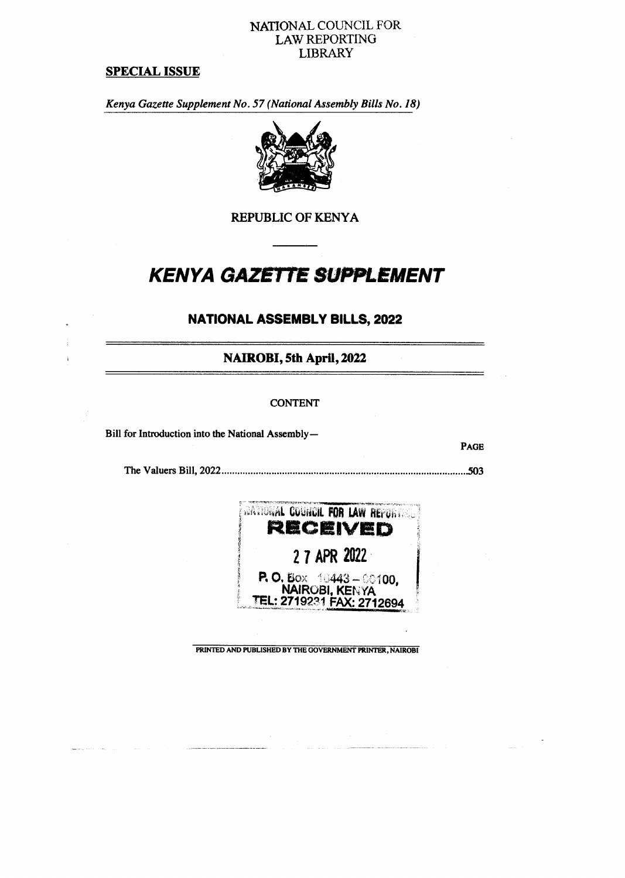### **NATIONAL COUNCIL FOR LAW REPORTING LIBRARY**

### **SPECIAL ISSUE**

*Kenya Gazette Supplement No. 57 (National Assembly Bills No. 18)* 



**REPUBLIC OF KENYA** 

# *KENYA GAZETTE SUPPLEMENT*

# **NATIONAL ASSEMBLY BILLS, 2022**

**NAIROBI, 5th April, 2022** 

#### **CONTENT**

Bill for Introduction into the National Assembly—

The Valuers Bill, 2022 503



**PAGE** 

**PRINTED AND PUBLISHED BY THE GOVERNMENT PRINTER, NAIROBI**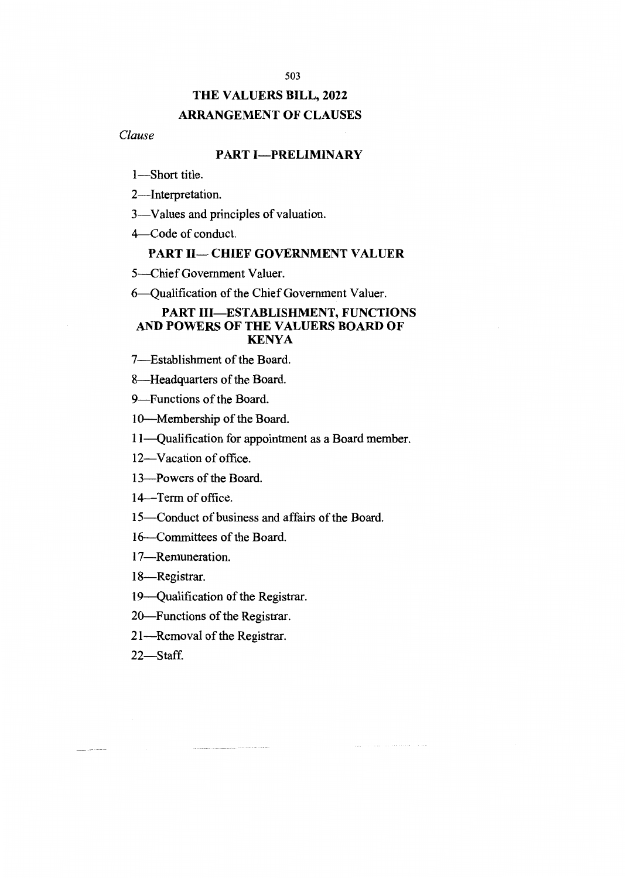# **THE VALUERS BILL, 2022 ARRANGEMENT OF CLAUSES**

### *Clause*

### **PART I—PRELIMINARY**

1—Short title.

2—Interpretation.

3—Values and principles of valuation.

4 Code of conduct.

### **PART II— CHIEF GOVERNMENT VALUER**

5—Chief Government Valuer.

6 Qualification of the Chief Government Valuer.

### **PART III—ESTABLISHMENT, FUNCTIONS AND POWERS OF THE VALUERS BOARD OF KENYA**

7—Establishment of the Board.

8—Headquarters of the Board.

9—Functions of the Board.

10—Membership of the Board.

11—Qualification for appointment as a Board member.

12—Vacation of office.

13—Powers of the Board.

14—Term of office.

15—Conduct of business and affairs of the Board.

16—Committees of the Board.

17—Remuneration.

18—Registrar.

19—Qualification of the Registrar.

20—Functions of the Registrar.

21—Removal of the Registrar.

22—Staff.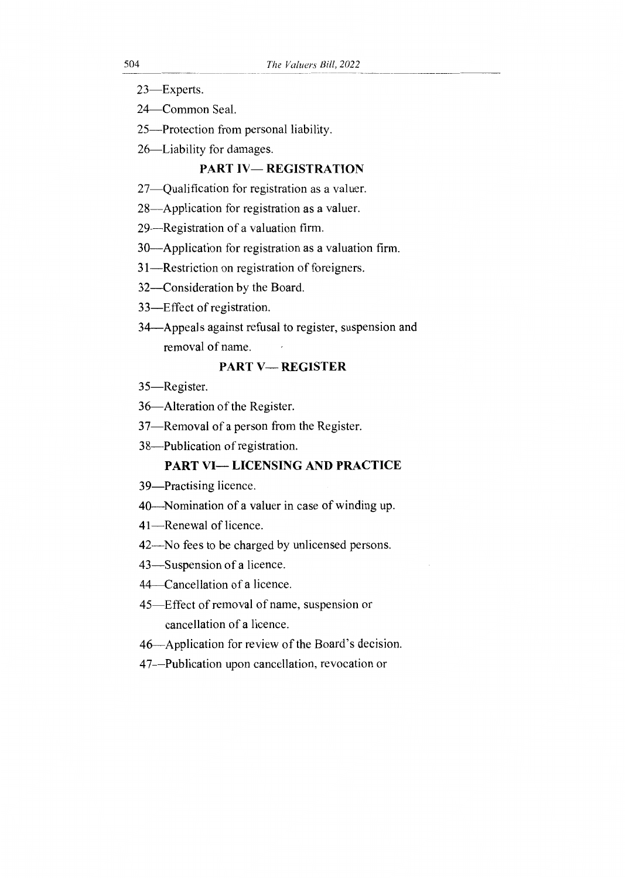- 23—Experts.
- 24—Common Seal.
- 25—Protection from personal liability.
- 26—Liability for damages.

### PART IV— REGISTRATION

- 27—Qualification for registration as a valuer.
- 28—Application for registration as a valuer.
- 29—Registration of a valuation firm.
- 30—Application for registration as a valuation firm.
- 31—Restriction on registration of foreigners.
- 32—Consideration by the Board.
- 33—Effect of registration.
- 34—Appeals against refusal to register, suspension and removal of name.

### PART V— REGISTER

- 35—Register.
- 36—Alteration of the Register.
- 37—Removal of a person from the Register.
- 38—Publication of registration.

### PART VI— LICENSING AND PRACTICE

- 39—Practising licence.
- 40—Nomination of a valuer in case of winding up.
- 41—Renewal of licence.
- 42—No fees to be charged by unlicensed persons.
- 43—Suspension of a licence.
- 44—Cancellation of a licence.
- 45—Effect of removal of name, suspension or cancellation of a licence.
- 46—Application for review of the Board's decision.
- 47—Publication upon cancellation, revocation or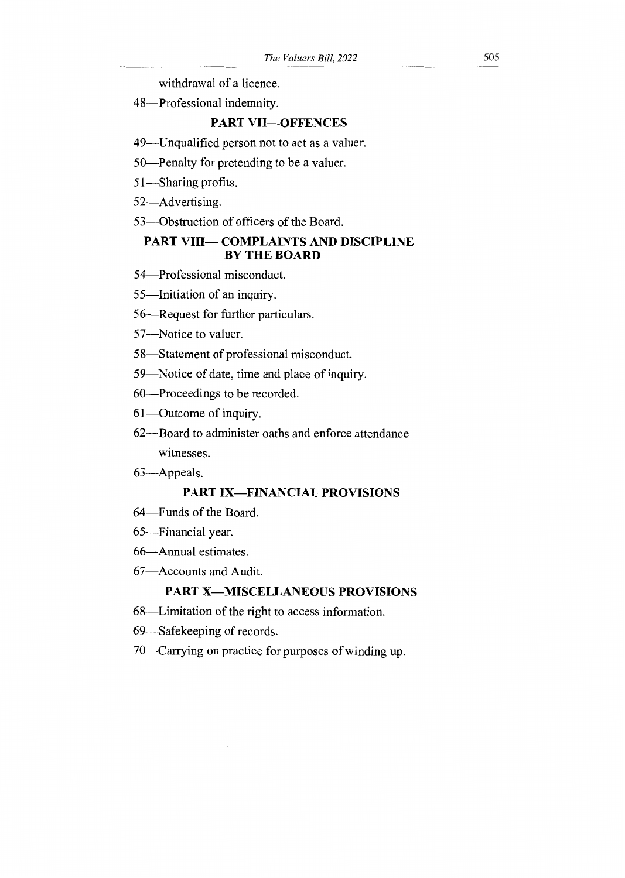withdrawal of a licence.

48—Professional indemnity.

### **PART VII—OFFENCES**

- 49—Unqualified person not to act as a valuer.
- 50—Penalty for pretending to be a valuer.
- 51—Sharing profits.
- 52—Advertising.
- 53—Obstruction of officers of the Board.

### **PART VIII— COMPLAINTS AND DISCIPLINE BY THE BOARD**

- 54—Professional misconduct.
- 55—Initiation of an inquiry.
- 56—Request for further particulars.
- 57—Notice to valuer.
- 58—Statement of professional misconduct.
- 59—Notice of date, time and place of inquiry.
- 60—Proceedings to be recorded.
- 61—Outcome of inquiry.
- 62—Board to administer oaths and enforce attendance witnesses.
- 63—Appeals.

### **PART IX—FINANCIAL PROVISIONS**

- 64—Funds of the Board.
- 65—Financial year.
- 66—Annual estimates.
- 67—Accounts and Audit.

## **PART X—MISCELLANEOUS PROVISIONS**

- 68—Limitation of the right to access information.
- 69—Safekeeping of records.
- 70—Carrying on practice for purposes of winding up.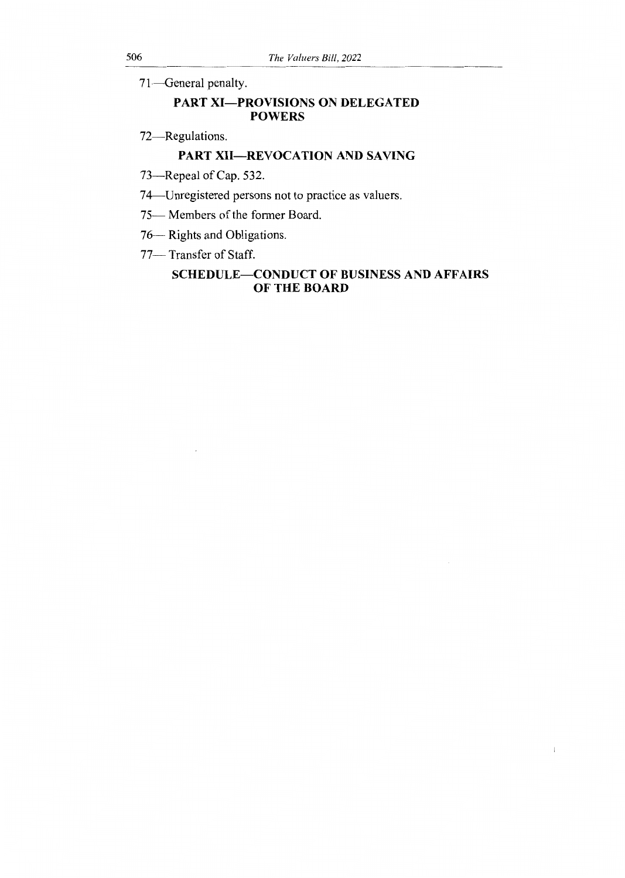71—General penalty.

### PART XI—PROVISIONS ON DELEGATED **POWERS**

72—Regulations.

# PART XII—REVOCATION AND SAVING

- 73—Repeal of Cap. 532.
- 74—Unregistered persons not to practice as valuers.
- 75— Members of the former Board.
- 76— Rights and Obligations.
- 77— Transfer of Staff.

### SCHEDULE—CONDUCT OF BUSINESS AND AFFAIRS OF THE BOARD

 $\mathbf{l}$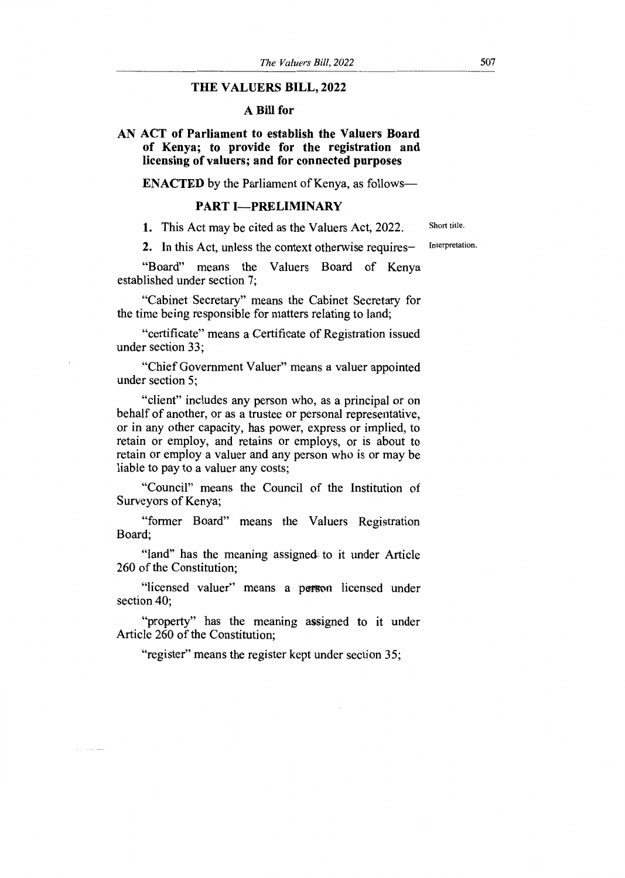#### **THE VALUERS BILL, 2022**

#### **A Bill for**

**AN ACT of Parliament to establish the Valuers Board of Kenya; to provide for the registration and licensing of valuers; and for connected purposes** 

**ENACTED** by the Parliament of Kenya, as follows—

#### **PART I—PRELIMINARY**

1. This Act may be cited as the Valuers Act, 2022.

Short title.

2. In this Act, unless the context otherwise requires— Interpretation.

"Board" means the Valuers Board of Kenya established under section 7;

"Cabinet Secretary" means the Cabinet Secretary for the time being responsible for matters relating to land;

"certificate" means a Certificate of Registration issued under section 33;

"Chief Government Valuer" means a valuer appointed under section 5;

"client" includes any person who, as a principal or on behalf of another, or as a trustee or personal representative, or in any other capacity, has power, express or implied, to retain or employ, and retains or employs, or is about to retain or employ a valuer and any person who is or may be liable to pay to a valuer any costs;

"Council" means the Council of the Institution of Surveyors of Kenya;

"former Board" means the Valuers Registration Board;

"land" has the meaning assignedi to it under Article 260 of the Constitution;

"licensed valuer" means a person licensed under section 40;

"property" has the meaning assigned to it under Article 260 of the Constitution;

"register" means the register kept under section 35;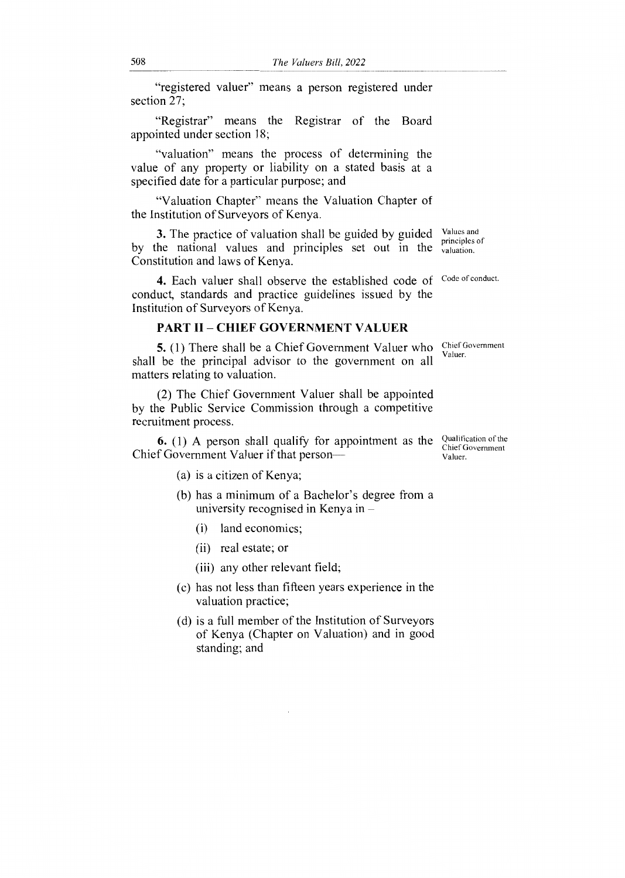"registered valuer" means a person registered under section 27;

"Registrar" means the Registrar of the Board appointed under section 18;

"valuation" means the process of determining the value of any property or liability on a stated basis at a specified date for a particular purpose; and

"Valuation Chapter" means the Valuation Chapter of the Institution of Surveyors of Kenya.

3. The practice of valuation shall be guided by guided Values and by the national values and principles set out in the valuation. Constitution and laws of Kenya. principles of

4. Each valuer shall observe the established code of Code of conduct. conduct, standards and practice guidelines issued by the Institution of Surveyors of Kenya.

### PART II — CHIEF GOVERNMENT VALUER

5. (1) There shall be a Chief Government Valuer who shall be the principal advisor to the government on all matters relating to valuation.

(2) The Chief Government Valuer shall be appointed by the Public Service Commission through a competitive recruitment process.

**6.** (1) A person shall qualify for appointment as the  $\frac{\text{Qualification of the}}{\text{C} \cdot \text{C} \cdot \text{C} \cdot \text{C} \cdot \text{C} \cdot \text{C} \cdot \text{C} \cdot \text{C} \cdot \text{C} \cdot \text{C} \cdot \text{C} \cdot \text{C} \cdot \text{C} \cdot \text{C} \cdot \text{C} \cdot \text{C} \cdot \text{C} \cdot \text{C} \cdot \text{C} \cdot \text{C} \cdot \text{C} \cdot \text{C} \cdot \$ Chief Government Valuer if that person

- (a) is a citizen of Kenya;
- (b) has a minimum of a Bachelor's degree from a university recognised in Kenya in
	- (i) land economics;
	- (ii) real estate; or
	- (iii) any other relevant field;
- (c) has not less than fifteen years experience in the valuation practice;
- (d) is a full member of the Institution of Surveyors of Kenya (Chapter on Valuation) and in good standing; and

Chief Government Valuer.

Chief Government Valuer.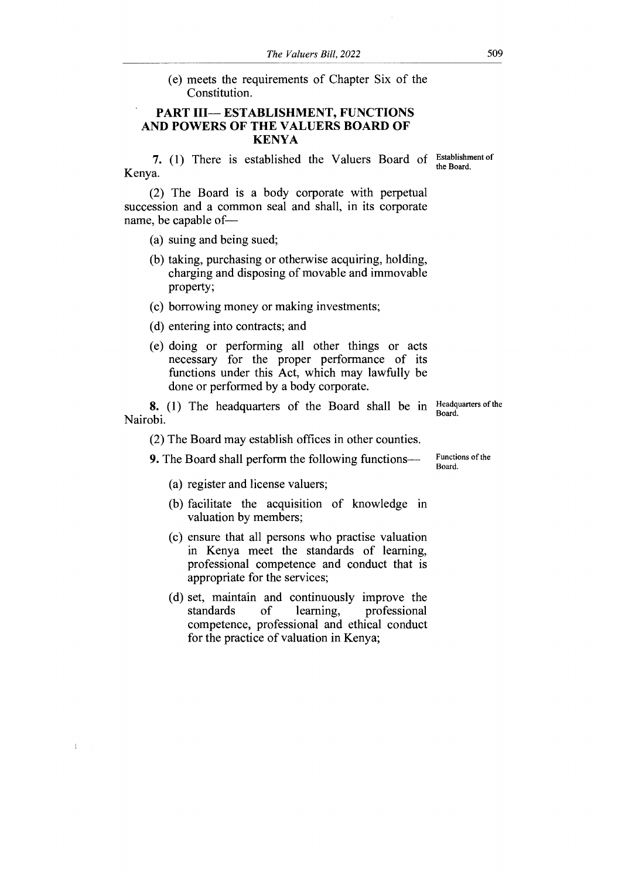(e) meets the requirements of Chapter Six of the Constitution.

### **PART III— ESTABLISHMENT, FUNCTIONS AND POWERS OF THE VALUERS BOARD OF KENYA**

7. (1) There is established the Valuers Board of Establishment of Kenya.

(2) The Board is a body corporate with perpetual succession and a common seal and shall, in its corporate name, be capable of—

(a) suing and being sued;

- (b) taking, purchasing or otherwise acquiring, holding, charging and disposing of movable and immovable property;
- (c) borrowing money or making investments;
- (d) entering into contracts; and
- (e) doing or performing all other things or acts necessary for the proper performance of its functions under this Act, which may lawfully be done or performed by a body corporate.

**8.** (1) The headquarters of the Board shall be in Nairobi.

(2) The Board may establish offices in other counties.

**9.** The Board shall perform the following functions—

Functions of the Board.

Headquarters of the

Board.

(a) register and license valuers;

 $\mathfrak t$ 

- (b) facilitate the acquisition of knowledge in valuation by members;
- (c) ensure that all persons who practise valuation in Kenya meet the standards of learning, professional competence and conduct that is appropriate for the services;
- (d) set, maintain and continuously improve the standards of learning, professional of learning, professional competence, professional and ethical conduct for the practice of valuation in Kenya;

the Board.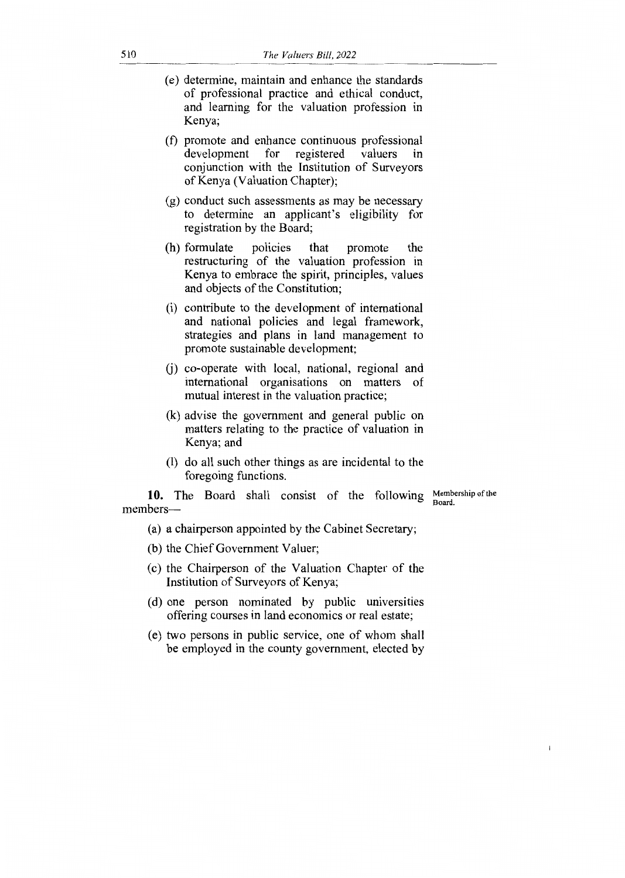- (e) determine, maintain and enhance the standards of professional practice and ethical conduct, and learning for the valuation profession in Kenya;
- (f) promote and enhance continuous professional development for registered valuers in conjunction with the Institution of Surveyors of Kenya (Valuation Chapter);
- (g) conduct such assessments as may be necessary to determine an applicant's eligibility for registration by the Board;
- (h) formulate policies that promote the restructuring of the valuation profession in Kenya to embrace the spirit, principles, values and objects of the Constitution;
- (i) contribute to the development of international and national policies and legal framework, strategies and plans in land management to promote sustainable development;
- (j) co-operate with local, national, regional and international organisations on matters of mutual interest in the valuation practice;
- (k) advise the government and general public on matters relating to the practice of valuation in Kenya; and
- (1) do all such other things as are incidental to the foregoing functions.

10. The Board shall consist of the following members—

Membership of the Board.

 $\mathbf{1}$ 

(a) a chairperson appointed by the Cabinet Secretary;

- (b) the Chief Government Valuer;
- (c) the Chairperson of the Valuation Chapter of the Institution of Surveyors of Kenya;
- (d) one person nominated by public universities offering courses in land economics or real estate;
- (e) two persons in public service, one of whom shall be employed in the county government, elected by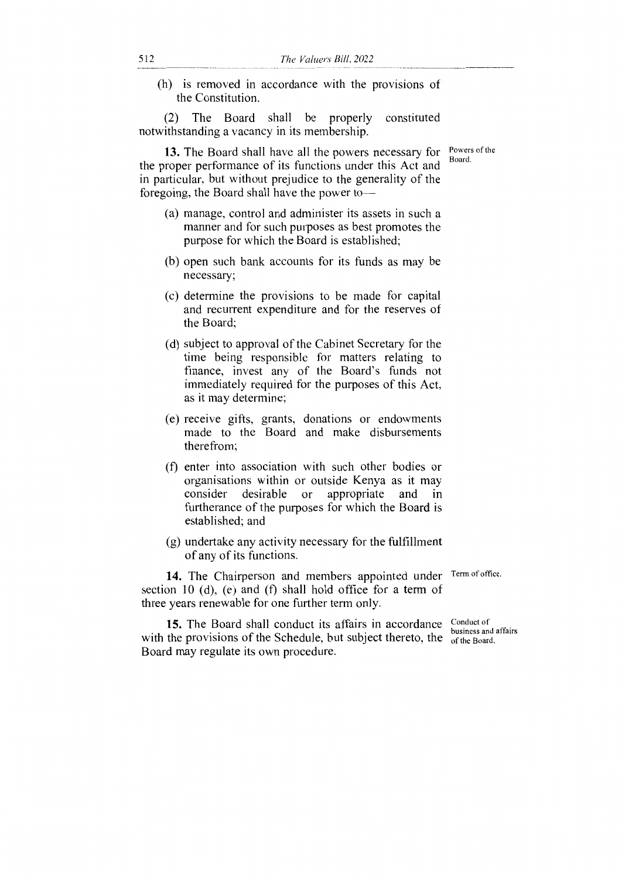(h) is removed in accordance with the provisions of the Constitution.

(2) The Board shall be properly constituted notwithstanding a vacancy in its membership.

**13.** The Board shall have all the powers necessary for the proper performance of its functions under this Act and in particular, but without prejudice to the generality of the foregoing, the Board shall have the power to—

- (a) manage, control and administer its assets in such a manner and for such purposes as best promotes the purpose for which the Board is established;
- (b) open such bank accounts for its funds as may be necessary;
- (c) determine the provisions to be made for capital and recurrent expenditure and for the reserves of the Board;
- (d) subject to approval of the Cabinet Secretary for the time being responsible for matters relating to finance, invest any of the Board's funds not immediately required for the purposes of this Act, as it may determine;
- (e) receive gifts, grants, donations or endowments made to the Board and make disbursements therefrom;
- (f) enter into association with such other bodies or organisations within or outside Kenya as it may consider desirable or appropriate and in furtherance of the purposes for which the Board is established; and
- (g) undertake any activity necessary for the fulfillment of any of its functions.

14. The Chairperson and members appointed under Term of office. section 10 (d), (e) and (f) shall hold office for a term of three years renewable for one further term only.

with the provisions of the Schedule, but subject thereto, the  $\frac{\text{d}s}{\text{of the Board}}$ . 15. The Board shall conduct its affairs in accordance Conduct of Board may regulate its own procedure.

business and affairs

Powers of the Board.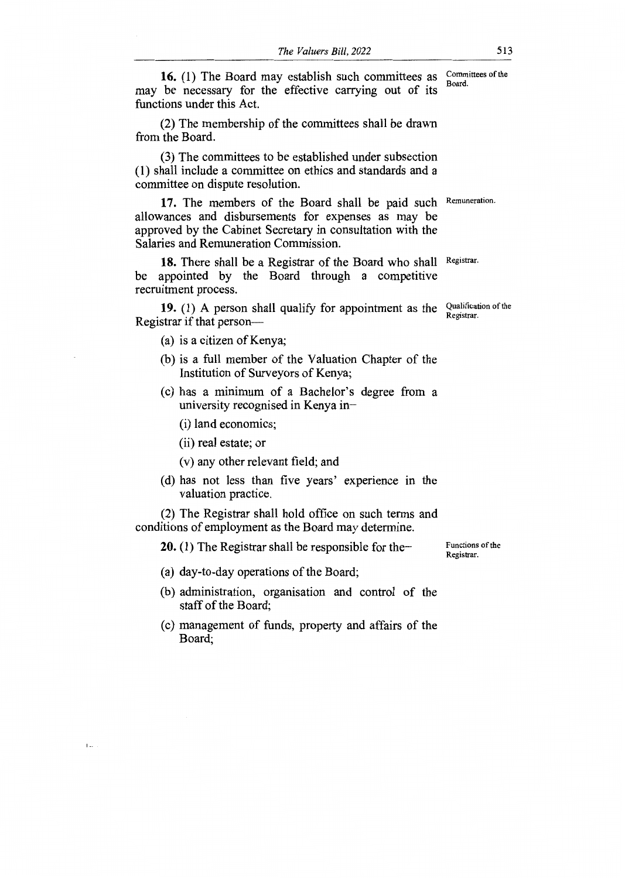16. (1) The Board may establish such committees as Committees of the may be necessary for the effective carrying out of its functions under this Act.

(2) The membership of the committees shall be drawn from the Board.

(3) The committees to be established under subsection (1) shall include a committee on ethics and standards and a committee on dispute resolution.

17. The members of the Board shall be paid such Remuneration. allowances and disbursements for expenses as may be approved by the Cabinet Secretary in consultation with the Salaries and Remuneration Commission.

18. There shall be a Registrar of the Board who shall Registrar. be appointed by the Board through a competitive recruitment process.

**19.** (1) A person shall qualify for appointment as the Qualification of the Registrar if that person—

(a) is a citizen of Kenya;

- (b) is a full member of the Valuation Chapter of the Institution of Surveyors of Kenya;
- (c) has a minimum of a Bachelor's degree from a university recognised in Kenya in—
	- (i) land economics;
	- (ii) real estate; or

 $\mathbf{L}$ 

- (v) any other relevant field; and
- (d) has not less than five years' experience in the valuation practice.

(2) The Registrar shall hold office on such terms and conditions of employment as the Board may determine.

**20.** (1) The Registrar shall be responsible for the

- (a) day-to-day operations of the Board;
- (b) administration, organisation and control of the staff of the Board;
- (c) management of funds, property and affairs of the Board;

Functions of the Registrar.

Registrar.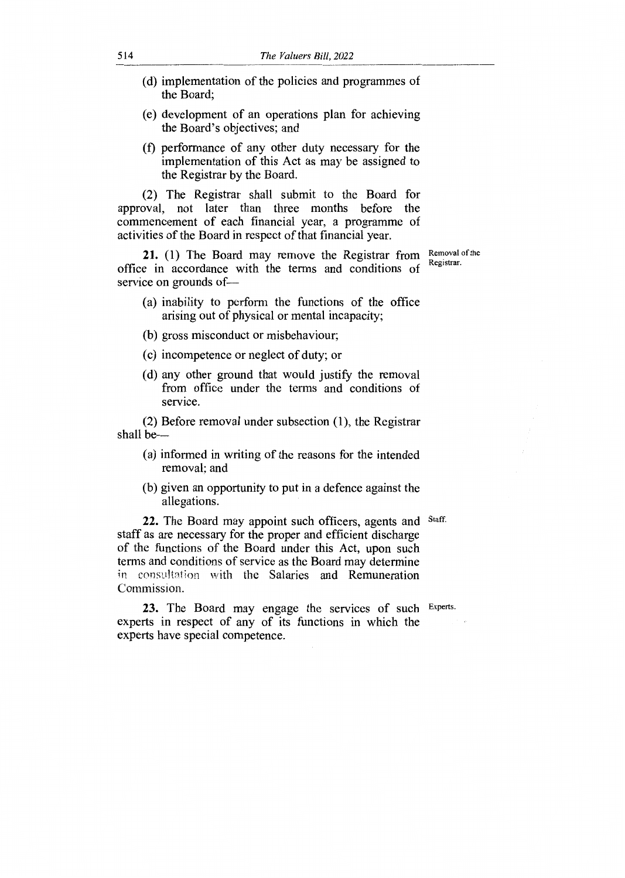- (d) implementation of the policies and programmes of the Board;
- (e) development of an operations plan for achieving the Board's objectives; and
- (f) performance of any other duty necessary for the implementation of this Act as may be assigned to the Registrar by the Board.

(2) The Registrar shall submit to the Board for approval, not later than three months before the commencement of each financial year, a programme of activities of the Board in respect of that financial year.

**21.** (1) The Board may remove the Registrar from office in accordance with the terms and conditions of service on grounds of—

Removal of the Registrar.

- (a) inability to perform the functions of the office arising out of physical or mental incapacity;
- (b) gross misconduct or misbehaviour;
- (c) incompetence or neglect of duty; or
- (d) any other ground that would justify the removal from office under the terms and conditions of service.

(2) Before removal under subsection (1), the Registrar shall be—

- (a) informed in writing of the reasons for the intended removal; and
- (b) given an opportunity to put in a defence against the allegations.

22. The Board may appoint such officers, agents and Staff. staff as are necessary for the proper and efficient discharge of the functions of the Board under this Act, upon such terms and conditions of service as the Board may determine in consultation with the Salaries and Remuneration Commission.

**23.** The Board may engage the services of such Experts. experts in respect of any of its functions in which the experts have special competence.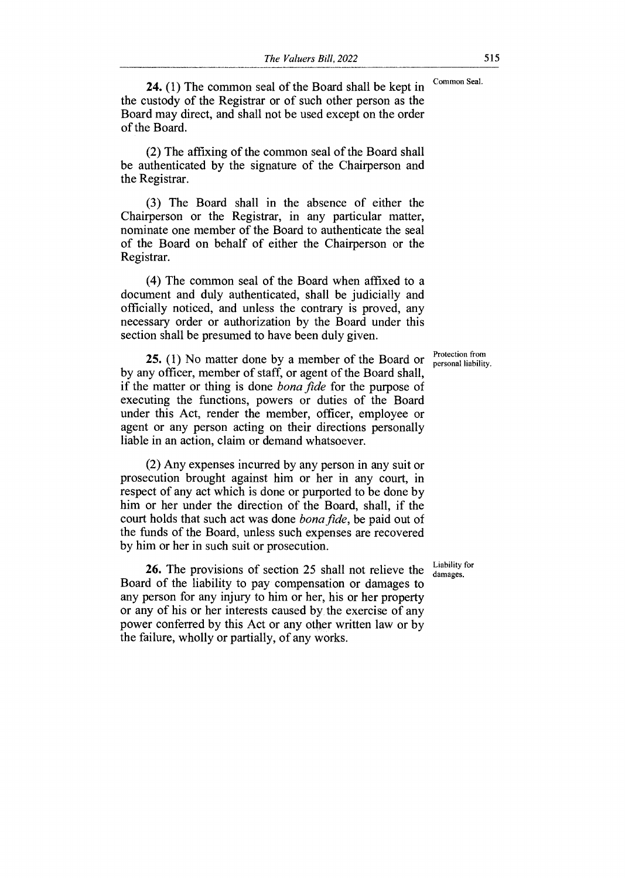**24.** (1) The common seal of the Board shall be kept in Common Seal. the custody of the Registrar or of such other person as the Board may direct, and shall not be used except on the order of the Board.

(2) The affixing of the common seal of the Board shall be authenticated by the signature of the Chairperson and the Registrar.

(3) The Board shall in the absence of either the Chairperson or the Registrar, in any particular matter, nominate one member of the Board to authenticate the seal of the Board on behalf of either the Chairperson or the Registrar.

(4) The common seal of the Board when affixed to a document and duly authenticated, shall be judicially and officially noticed, and unless the contrary is proved, any necessary order or authorization by the Board under this section shall be presumed to have been duly given.

by any officer, member of staff, or agent of the Board shall, **25.** (1) No matter done by a member of the Board or  $\frac{\text{Protection from}}{\text{personal liability}}$ if the matter or thing is done *bona fide* for the purpose of executing the functions, powers or duties of the Board under this Act, render the member, officer, employee or agent or any person acting on their directions personally liable in an action, claim or demand whatsoever.

(2) Any expenses incurred by any person in any suit or prosecution brought against him or her in any court, in respect of any act which is done or purported to be done by him or her under the direction of the Board, shall, if the court holds that such act was done *bona fide,* be paid out of the funds of the Board, unless such expenses are recovered by him or her in such suit or prosecution.

26. The provisions of section 25 shall not relieve the Liability for Board of the liability to pay compensation or damages to any person for any injury to him or her, his or her property or any of his or her interests caused by the exercise of any power conferred by this Act or any other written law or by the failure, wholly or partially, of any works.

personal liability.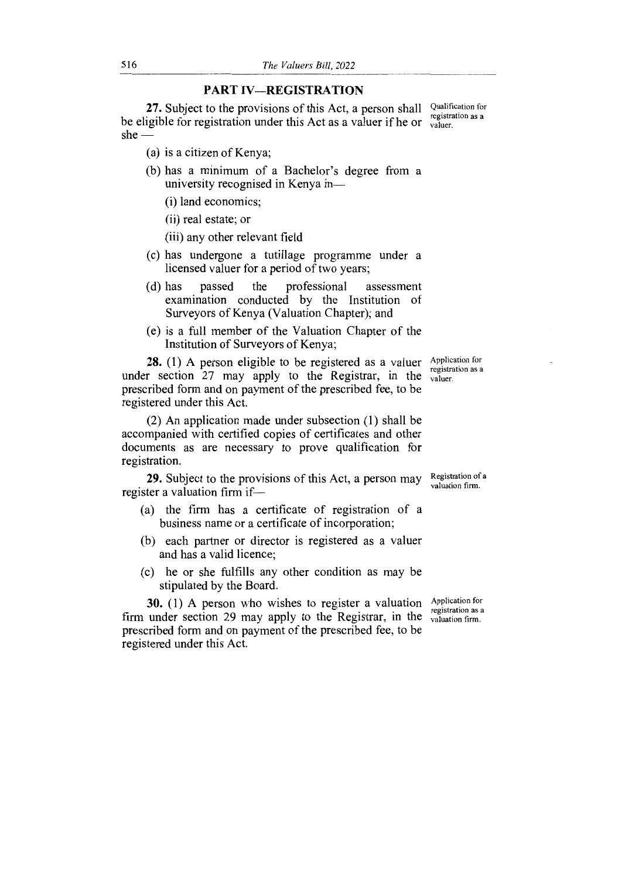#### **PART IV—REGISTRATION**

27. Subject to the provisions of this Act, a person shall Qualification for be eligible for registration under this Act as a valuer if he or  $\frac{registr}{valuer}$ . she registration as a

- (a) is a citizen of Kenya;
- (b) has a minimum of a Bachelor's degree from a university recognised in Kenya in
	- (i) land economics;
	- (ii) real estate; or
	- (iii) any other relevant field
- (c) has undergone a tutillage programme under a licensed valuer for a period of two years;
- (d) has passed the professional assessment examination conducted by the Institution of Surveyors of Kenya (Valuation Chapter); and
- (e) is a full member of the Valuation Chapter of the Institution of Surveyors of Kenya;

**28.** (1) A person eligible to be registered as a valuer Application for under section  $27$  may apply to the Registrar, in the valuer. prescribed form and on payment of the prescribed fee, to be registered under this Act. registration as a

(2) An application made under subsection (1) shall be accompanied with certified copies of certificates and other documents as are necessary to prove qualification for registration.

**29.** Subject to the provisions of this Act, a person may register a valuation firm if— Registration of a valuation firm.

- (a) the firm has a certificate of registration of a business name or a certificate of incorporation;
- (b) each partner or director is registered as a valuer and has a valid licence;
- (c) he or she fulfills any other condition as may be stipulated by the Board.

**30.** (1) A person who wishes to register a valuation firm under section 29 may apply to the Registrar, in the prescribed form and on payment of the prescribed fee, to be registered under this Act.

Application for registration as a valuation firm.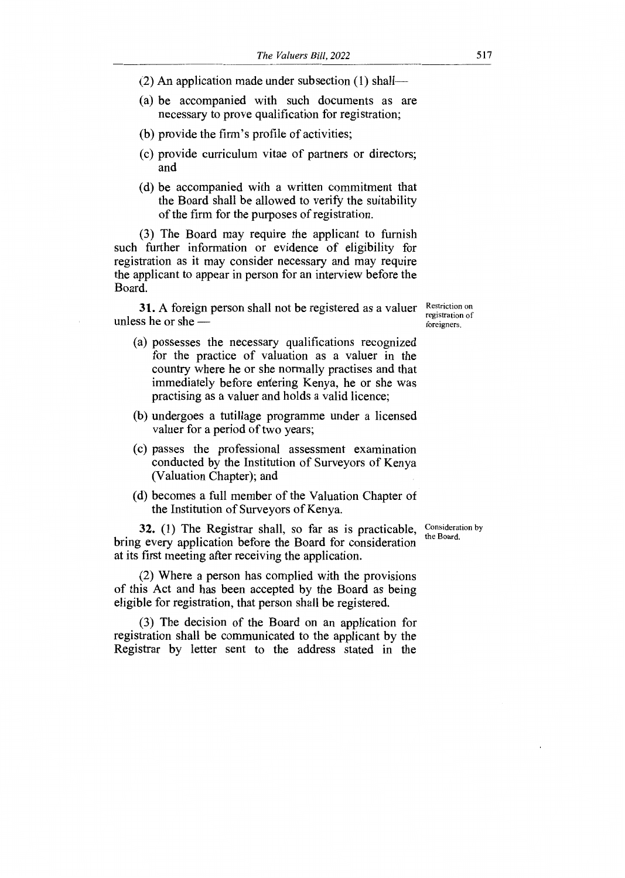- (2) An application made under subsection (1) shall—
- (a) be accompanied with such documents as are necessary to prove qualification for registration;
- (b) provide the firm's profile of activities;
- (c) provide curriculum vitae of partners or directors; and
- (d) be accompanied with a written commitment that the Board shall be allowed to verify the suitability of the firm for the purposes of registration.

(3) The Board may require the applicant to furnish such further information or evidence of eligibility for registration as it may consider necessary and may require the applicant to appear in person for an interview before the Board.

**31.** A foreign person shall not be registered as a valuer Restriction on unless he or she —

(a) possesses the necessary qualifications recognized for the practice of valuation as a valuer in the country where he or she normally practises and that immediately before entering Kenya, he or she was practising as a valuer and holds a valid licence;

- (b) undergoes a tutillage programme under a licensed valuer for a period of two years;
- (c) passes the professional assessment examination conducted by the Institution of Surveyors of Kenya (Valuation Chapter); and
- (d) becomes a full member of the Valuation Chapter of the Institution of Surveyors of Kenya.

**32.** (1) The Registrar shall, so far as is practicable, bring every application before the Board for consideration at its first meeting after receiving the application.

(2) Where a person has complied with the provisions of this Act and has been accepted by the Board as being eligible for registration, that person shall be registered.

(3) The decision of the Board on an application for registration shall be communicated to the applicant by the Registrar by letter sent to the address stated in the

Consideration by the Board.

registration of foreigners.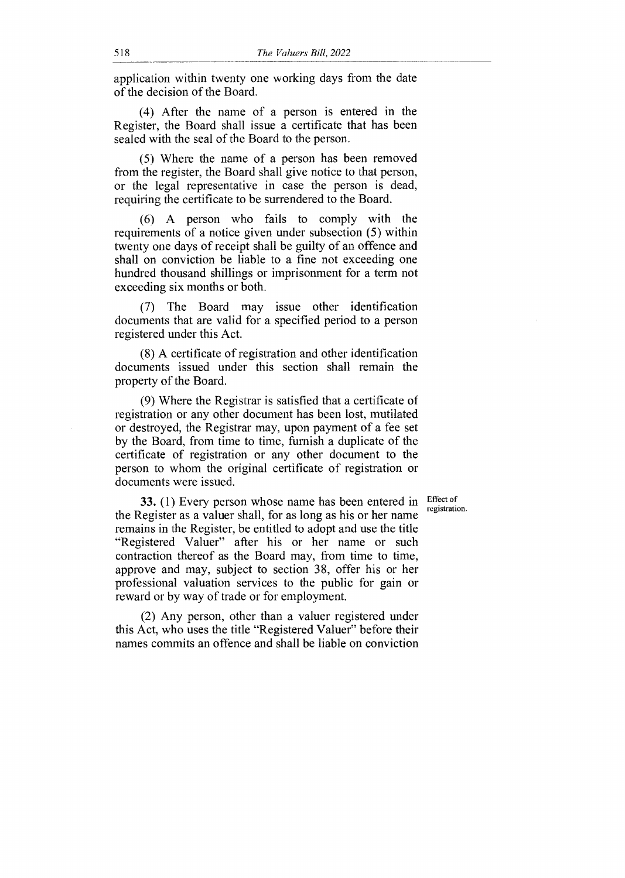application within twenty one working days from the date of the decision of the Board.

(4) After the name of a person is entered in the Register, the Board shall issue a certificate that has been sealed with the seal of the Board to the person.

(5) Where the name of a person has been removed from the register, the Board shall give notice to that person, or the legal representative in case the person is dead, requiring the certificate to be surrendered to the Board.

(6) A person who fails to comply with the requirements of a notice given under subsection (5) within twenty one days of receipt shall be guilty of an offence and shall on conviction be liable to a fine not exceeding one hundred thousand shillings or imprisonment for a term not exceeding six months or both.

(7) The Board may issue other identification documents that are valid for a specified period to a person registered under this Act.

(8) A certificate of registration and other identification documents issued under this section shall remain the property of the Board.

(9) Where the Registrar is satisfied that a certificate of registration or any other document has been lost, mutilated or destroyed, the Registrar may, upon payment of a fee set by the Board, from time to time, furnish a duplicate of the certificate of registration or any other document to the person to whom the original certificate of registration or documents were issued.

> Effect of registration.

33. (1) Every person whose name has been entered in the Register as a valuer shall, for as long as his or her name remains in the Register, be entitled to adopt and use the title "Registered Valuer" after his or her name or such contraction thereof as the Board may, from time to time, approve and may, subject to section 38, offer his or her professional valuation services to the public for gain or reward or by way of trade or for employment.

(2) Any person, other than a valuer registered under this Act, who uses the title "Registered Valuer" before their names commits an offence and shall be liable on conviction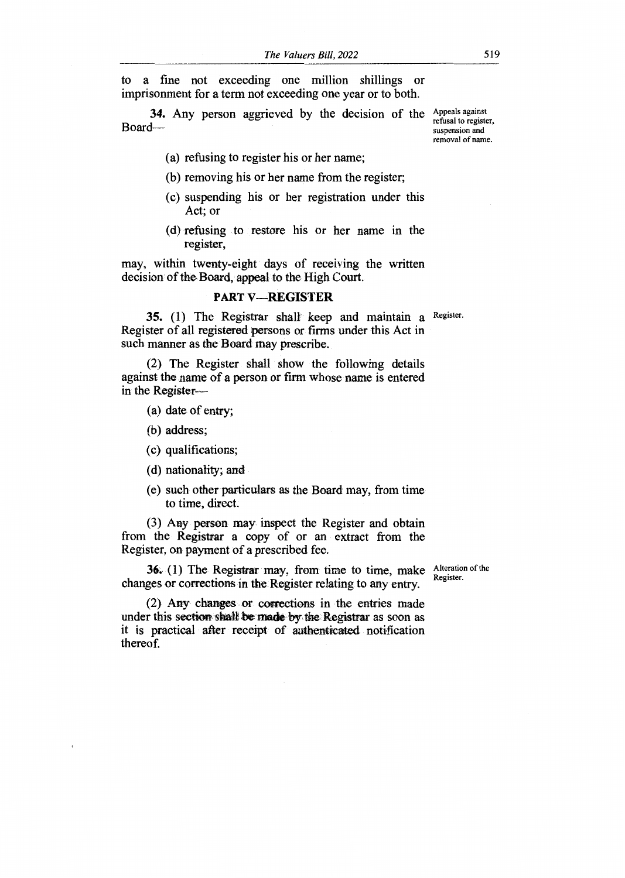to a fine not exceeding one million shillings or imprisonment for a term not exceeding one year or to both.

34. Any person aggrieved by the decision of the Appeals against Board—

refusal to register, suspension and removal of name.

(a) refusing to register his or her name;

(b) removing his or her name from the register;

- (c) suspending his or her registration under this Act; or
- (d) refusing to restore his or her name in the register,

may, within twenty-eight days of receiving the written decision of the Board, appeal to the High Court.

### **PART V—REGISTER**

**35.** (1) The Registrar shall keep and maintain a Register. Register of all registered persons or firms under this Act in such manner as the Board may prescribe.

(2) The Register shall show the following details against the name of a person or firm whose name is entered in the Register—

- (a) date of entry;
- (b) address;
- (c) qualifications;
- (d) nationality; and
- (e) such other particulars as the Board may, from time to time, direct.

(3) Any person may inspect the Register and obtain from the Registrar a copy of or an extract from the Register, on payment of a prescribed fee.

**36.** (1) The Registrar may, from time to time, make changes or corrections in the Register relating to any entry.

Alteration of the Register.

(2) Any changes or corrections in the entries made under this section shall be made by the Registrar as soon as it is practical after receipt of authenticated notification thereof.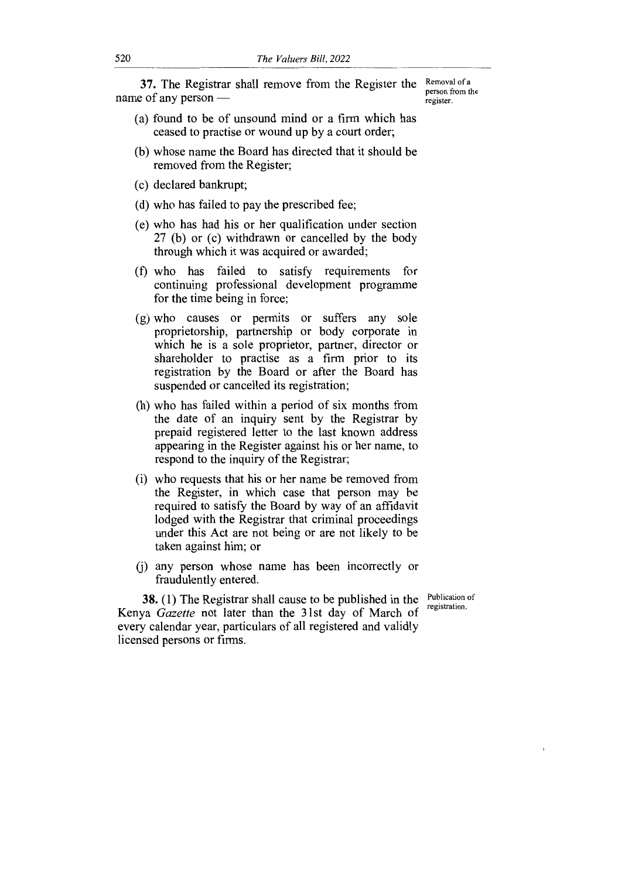**37.** The Registrar shall remove from the Register the name of any person

Removal of a person from the register.

- (a) found to be of unsound mind or a firm which has ceased to practise or wound up by a court order;
- (b) whose name the Board has directed that it should be removed from the Register;
- (c) declared bankrupt;
- (d) who has failed to pay the prescribed fee;
- (e) who has had his or her qualification under section 27 (b) or (c) withdrawn or cancelled by the body through which it was acquired or awarded;
- (f) who has failed to satisfy requirements for continuing professional development programme for the time being in force;
- (g) who causes or permits or suffers any sole proprietorship, partnership or body corporate in which he is a sole proprietor, partner, director or shareholder to practise as a firm prior to its registration by the Board or after the Board has suspended or cancelled its registration;
- (h) who has failed within a period of six months from the date of an inquiry sent by the Registrar by prepaid registered letter to the last known address appearing in the Register against his or her name, to respond to the inquiry of the Registrar;
- (i) who requests that his or her name be removed from the Register, in which case that person may be required to satisfy the Board by way of an affidavit lodged with the Registrar that criminal proceedings under this Act are not being or are not likely to be taken against him; or
- (j) any person whose name has been incorrectly or fraudulently entered.

**38.** (1) The Registrar shall cause to be published in the Kenya *Gazette* not later than the 31st day of March of every calendar year, particulars of all registered and validly licensed persons or firms.

Publication of registration.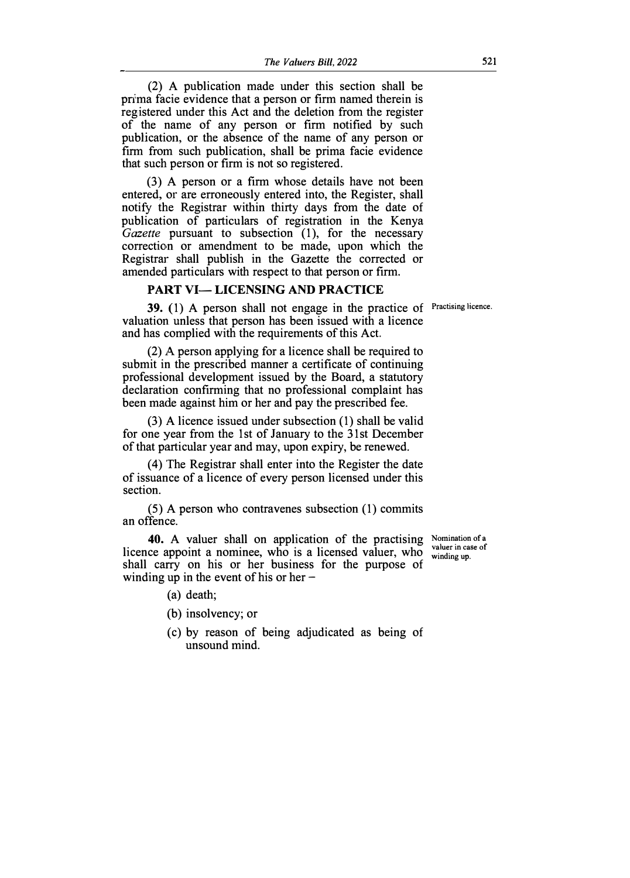(2) A publication made under this section shall be prima facie evidence that a person or firm named therein is registered under this Act and the deletion from the register of the name of any person or firm notified by such publication, or the absence of the name of any person or firm from such publication, shall be prima facie evidence that such person or firm is not so registered.

(3) A person or a firm whose details have not been entered, or are erroneously entered into, the Register, shall notify the Registrar within thirty days from the date of publication of particulars of registration in the Kenya *Gazette* pursuant to subsection (1), for the necessary correction or amendment to be made, upon which the Registrar shall publish in the Gazette the corrected or amended particulars with respect to that person or firm.

#### **PART VI-LICENSING AND PRACTICE**

39. (1) A person shall not engage in the practice of Practising licence. valuation unless that person has been issued with a licence and has complied with the requirements of this Act.

(2) A person applying for a licence shall be required to submit in the prescribed manner a certificate of continuing professional development issued by the Board, a statutory declaration confirming that no professional complaint has been made against him or her and pay the prescribed fee.

(3) A licence issued under subsection (1) shall be valid for one year from the 1st of January to the 31st December of that particular year and may, upon expiry, be renewed.

( 4) The Registrar shall enter into the Register the date of issuance of a licence of every person licensed under this section.

(5) A person who contravenes subsection (1) commits an offence.

40. A valuer shall on application of the practising Nomination of a licence appoint a nominee, who is a licensed valuer, who shall carry on his or her business for the purpose of winding up in the event of his or her  $-$ 

valuer in case of winding up.

- (a) death;
- (b) insolvency; or
- ( c) by reason of being adjudicated as being of unsound mind.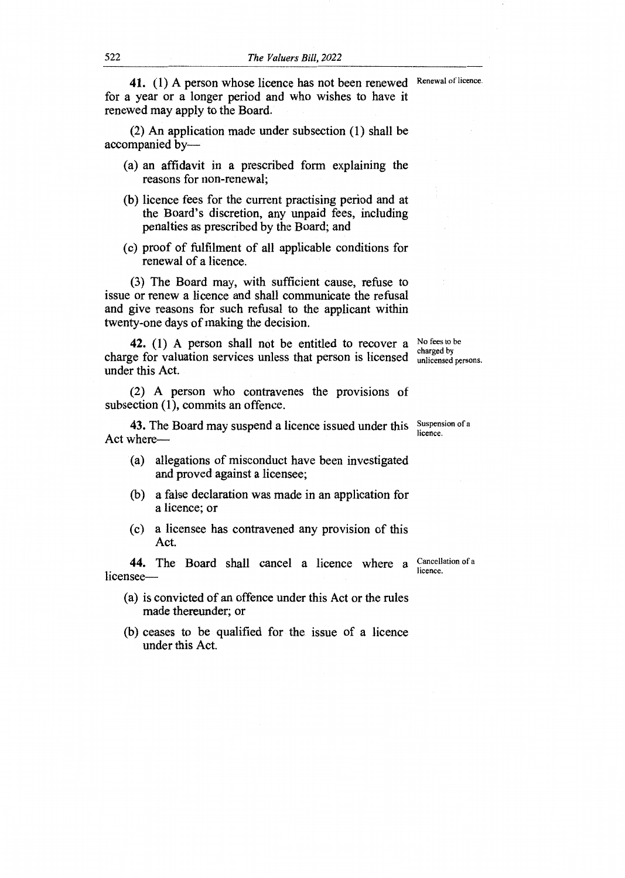41. (1) A person whose licence has not been renewed Renewal of licence. for a year or a longer period and who wishes to have it renewed may apply to the Board.

(2) An application made under subsection (1) shall be accompanied by—

- (a) an affidavit in a prescribed form explaining the reasons for non-renewal;
- (b) licence fees for the current practising period and at the Board's discretion, any unpaid fees, including penalties as prescribed by the Board; and
- (c) proof of fulfilment of all applicable conditions for renewal of a licence.

(3) The Board may, with sufficient cause, refuse to issue or renew a licence and shall communicate the refusal and give reasons for such refusal to the applicant within twenty-one days of making the decision.

**42.** (1) A person shall not be entitled to recover a  $\frac{No \text{ fees to be}}{obs \text{ needs by }}$ charge for valuation services unless that person is licensed  $_{\text{unlicensed}}^{\text{charged by}}$ under this Act. unlicensed persons.

(2) A person who contravenes the provisions of subsection (1), commits an offence.

**43.** The Board may suspend a licence issued under this Suspension of a Act where—

- (a) allegations of misconduct have been investigated and proved against a licensee;
- (b) a false declaration was made in an application for a licence; or
- (c) a licensee has contravened any provision of this Act.

44. The Board shall cancel a licence where a Cancellation of a licensee licence.

- (a) is convicted of an offence under this Act or the rules made thereunder; or
- (b) ceases to be qualified for the issue of a licence under this Act.

licence.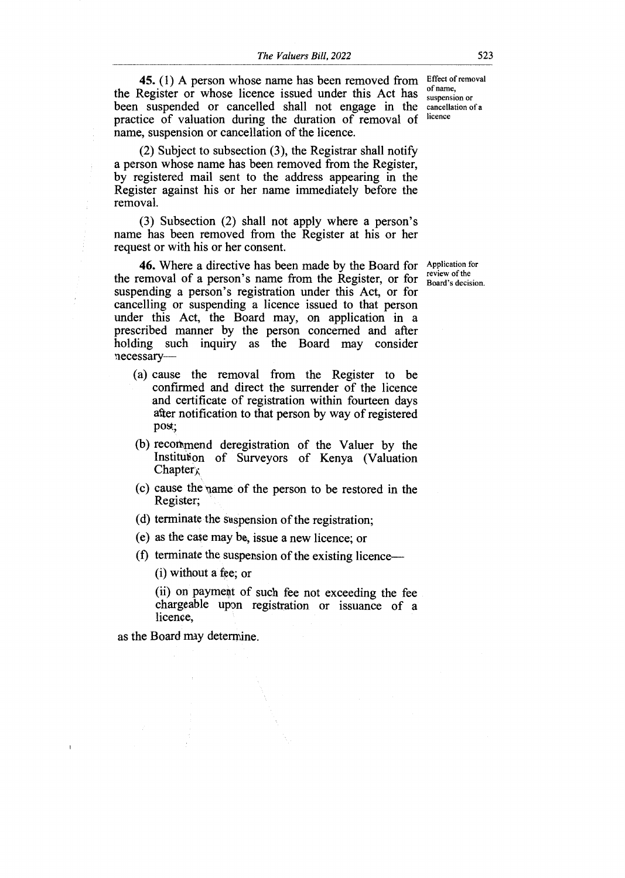Effect of removal 45. (1) A person whose name has been removed from the Register or whose licence issued under this Act has been suspended or cancelled shall not engage in the practice of valuation during the duration of removal of name, suspension or cancellation of the licence.

(2) Subject to subsection (3), the Registrar shall notify a person whose name has been removed from the Register, by registered mail sent to the address appearing in the Register against his or her name immediately before the removal.

(3) Subsection (2) shall not apply where a person's name has been removed from the Register at his or her request or with his or her consent.

46. Where a directive has been made by the Board for Application for the removal of a person's name from the Register, or for suspending a person's registration under this Act, or for cancelling or suspending a licence issued to that person under this Act, the Board may, on application in a prescribed manner by the person concerned and after holding such inquiry as the Board may consider necessary—

- (a) cause the removal from the Register to be confirmed and direct the surrender of the licence and certificate of registration within fourteen days after notification to that person by way of registered post;
- (b) recommend deregistration of the Valuer by the Institution of Surveyors of Kenya (Valuation  $Chapter x$
- (c) cause the name of the person to be restored in the Register;
- (d) terminate the suspension of the registration;
- (e) as the case may be, issue a new licence; or
- (f) terminate the suspension of the existing licence—

(i) without a fee; or

(ii) on payment of such fee not exceeding the fee chargeable upon registration or issuance of a licence,

as the Board may determine.

of name, suspension or cancellation of a licence

review of the Board's decision.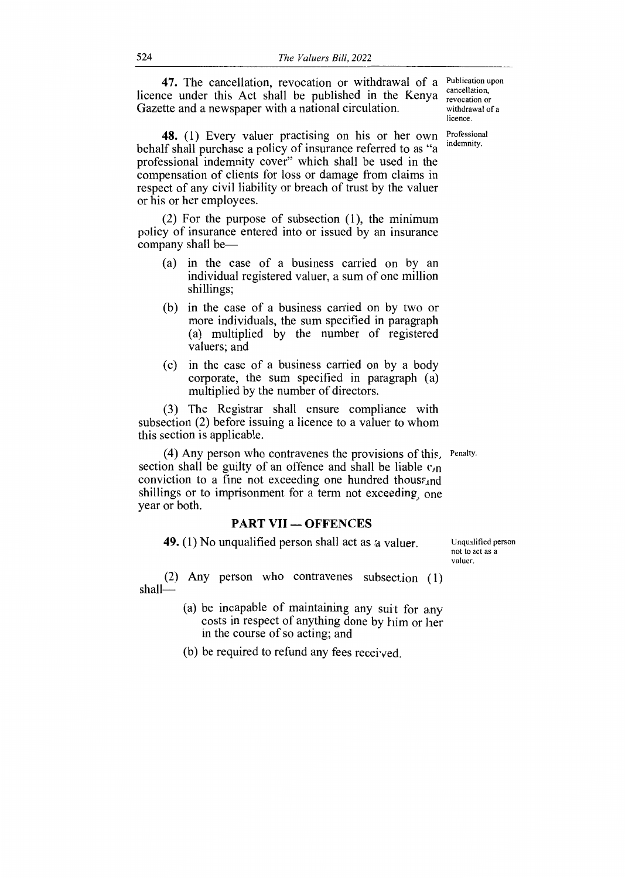**47.** The cancellation, revocation or withdrawal of a licence under this Act shall be published in the Kenya Gazette and a newspaper with a national circulation.

**48.** (1) Every valuer practising on his or her own behalf shall purchase a policy of insurance referred to as "a professional indemnity cover" which shall be used in the compensation of clients for loss or damage from claims in respect of any civil liability or breach of trust by the valuer or his or her employees.

(2) For the purpose of subsection (1), the minimum policy of insurance entered into or issued by an insurance company shall be—

- (a) in the case of a business carried on by an individual registered valuer, a sum of one million shillings;
- (b) in the case of a business carried on by two or more individuals, the sum specified in paragraph (a) multiplied by the number of registered valuers; and
- (c) in the case of a business carried on by a body corporate, the sum specified in paragraph (a) multiplied by the number of directors.

(3) The Registrar shall ensure compliance with subsection (2) before issuing a licence to a valuer to whom this section is applicable.

(4) Any person who contravenes the provisions of this, Penalty. section shall be guilty of an offence and shall be liable  $c_{\text{M}}$ conviction to a fine not exceeding one hundred thous $\epsilon_{1}$ nd shillings or to imprisonment for a term not exceeding, one year or both.

#### **PART VII — OFFENCES**

**49.** (1) No unqualified person shall act as a valuer.

(2) Any person who contravenes subsection (1) shall—

- (a) be incapable of maintaining any suit for any costs in respect of anything done by him or her in the course of so acting; and
- (b) be required to refund any fees received.

Publication upon cancellation, revocation or withdrawal of a licence.

Professional indemnity.

Unqualified person not to act as a valuer.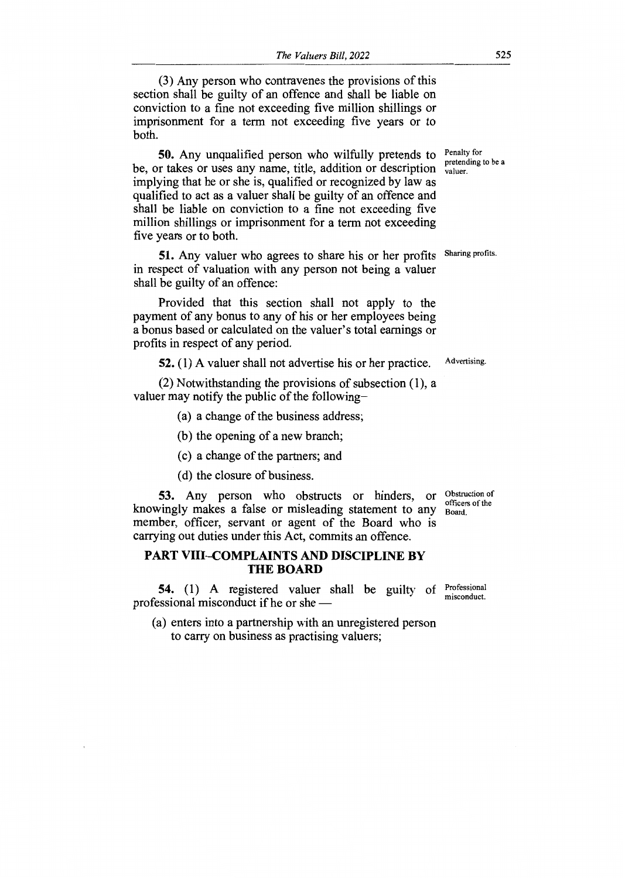(3) Any person who contravenes the provisions of this section shall be guilty of an offence and shall be liable on conviction to a fine not exceeding five million shillings or imprisonment for a term not exceeding five years or to both.

**50.** Any unqualified person who wilfully pretends to be, or takes or uses any name, title, addition or description implying that he or she is, qualified or recognized by law as qualified to act as a valuer shall be guilty of an offence and shall be liable on conviction to a fine not exceeding five million shillings or imprisonment for a term not exceeding five years or to both.

51. Any valuer who agrees to share his or her profits Sharing profits. in respect of valuation with any person not being a valuer shall be guilty of an offence:

Provided that this section shall not apply to the payment of any bonus to any of his or her employees being a bonus based or calculated on the valuer's total earnings or profits in respect of any period.

**52.** (1) A valuer shall not advertise his or her practice. Advertising.

(2) Notwithstanding the provisions of subsection (1), a valuer may notify the public of the following—

(a) a change of the business address;

(b) the opening of a new branch;

(c) a change of the partners; and

(d) the closure of business.

knowingly makes a false or misleading statement to any 53. Any person who obstructs or hinders, or Obstruction of member, officer, servant or agent of the Board who is carrying out duties under this Act, commits an offence.

#### **PART VIII—COMPLAINTS AND DISCIPLINE BY THE BOARD**

54. (1) A registered valuer shall be guilty of <sup>Professional</sup> professional misconduct if he or she —

(a) enters into a partnership with an unregistered person to carry on business as practising valuers;

officers of the Board.

Penalty for pretending to be a valuer.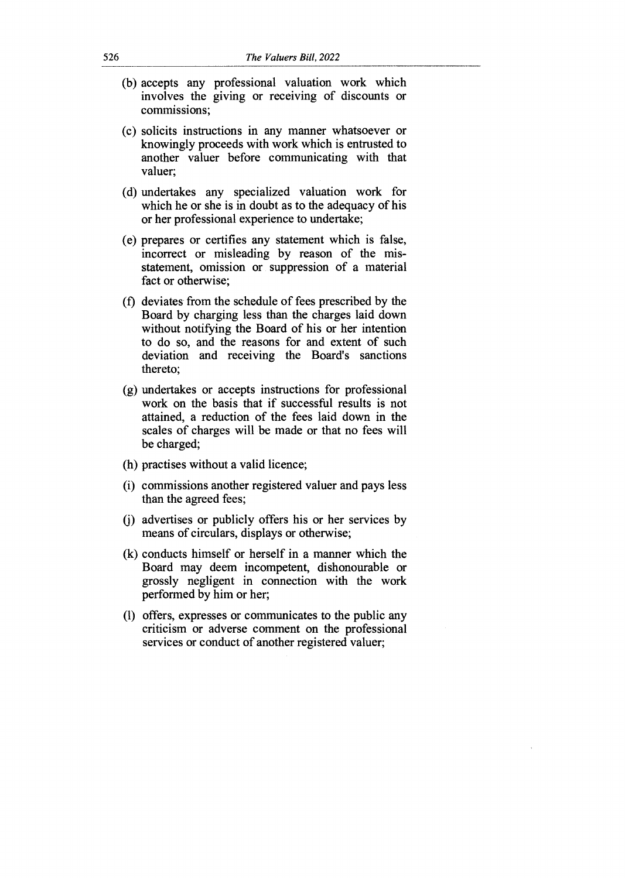- (b) accepts any professional valuation work which involves the giving or receiving of discounts or commissions;
- (c) solicits instructions in any manner whatsoever or knowingly proceeds with work which is entrusted to another valuer before communicating with that valuer;
- (d) undertakes any specialized valuation work for which he or she is in doubt as to the adequacy of his or her professional experience to undertake;
- (e) prepares or certifies any statement which is false, incorrect or misleading by reason of the misstatement, omission or suppression of a material fact or otherwise;
- (f) deviates from the schedule of fees prescribed by the Board by charging less than the charges laid down without notifying the Board of his or her intention to do so, and the reasons for and extent of such deviation and receiving the Board's sanctions thereto;
- (g) undertakes or accepts instructions for professional work on the basis that if successful results is not attained, a reduction of the fees laid down in the scales of charges will be made or that no fees will be charged;
- (h) practises without a valid licence;
- (i) commissions another registered valuer and pays less than the agreed fees;
- (j) advertises or publicly offers his or her services by means of circulars, displays or otherwise;
- (k) conducts himself or herself in a manner which the Board may deem incompetent, dishonourable or grossly negligent in connection with the work performed by him or her;
- (I) offers, expresses or communicates to the public any criticism or adverse comment on the professional services or conduct of another registered valuer;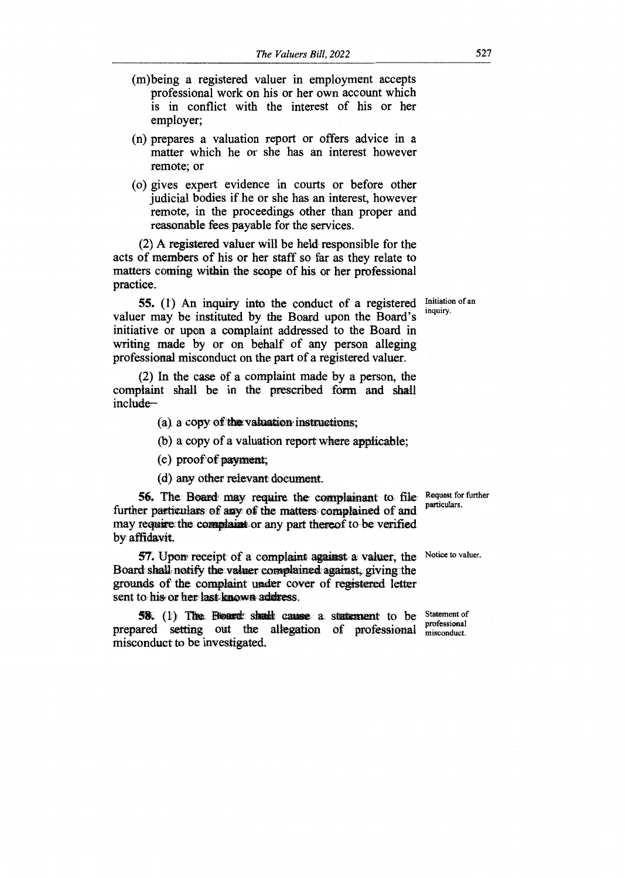- (m)being a registered valuer in employment accepts professional work on his or her own account which is in conflict with the interest of his or her employer;
- (n) prepares a valuation report or offers advice in a matter which he or she has an interest however remote; or
- (o) gives expert evidence in courts or before other judicial bodies if he or she has an interest, however remote, in the proceedings other than proper and reasonable fees payable for the services.

(2) A registered valuer will be held responsible for the acts of members of his or her staff so far as they relate to matters coming within the scope of his or her professional practice.

55. (1) An inquiry into the conduct of a registered valuer may be instituted by the Board upon the Board's initiative or upon a complaint addressed to the Board in writing made by or on behalf of any person alleging professional misconduct on the part of a registered valuer.

(2) In the case of a complaint made by a person, the complaint shall be in the prescribed form and shall include—

(a), a copy of the valuation instructions;

(b) a copy of a valuation reportwhere applicable;

- (c) proof of payment;
- (d) any other relevant document.

56. The Board may require the complainant to file Request for further further particulars of any of the matters complained of and may require the congdaint or. any part thereof to be verified by affidavit.

57. Upon receipt of a complaint against a valuer, the Notice to valuer. Board shall notify the valuer complained against, giving the grounds, of the, complaint under cover of registered letter sent to his or her last known address.

**58.** (1) The Board shadt cause a statement to be Statement of prepared setting out the allegation of professional professional misconduct to be investigated.

misconduct.

Initiation of an inquiry.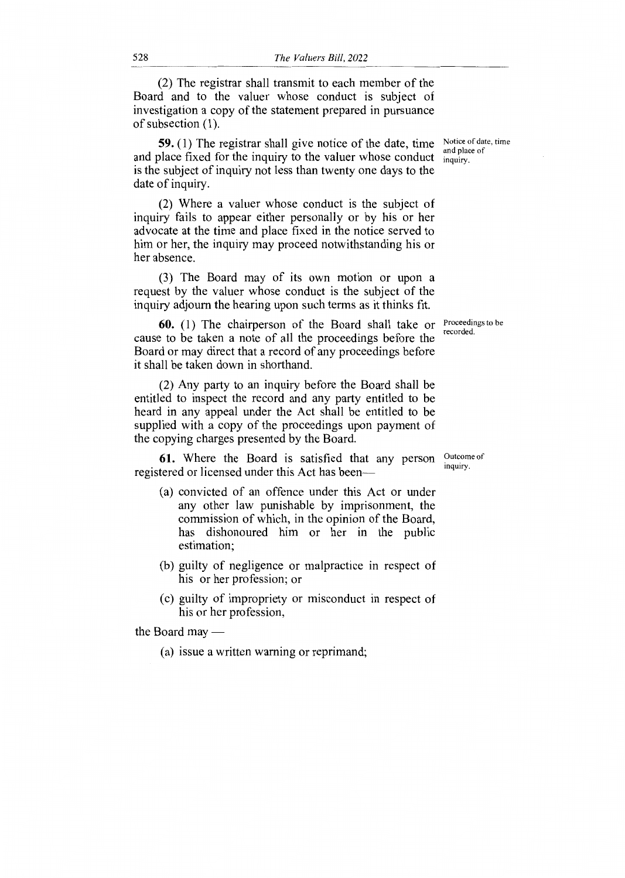(2) The registrar shall transmit to each member of the Board and to the valuer whose conduct is subject of investigation a copy of the statement prepared in pursuance of subsection (1).

**59.** (1) The registrar shall give notice of the date, time Notice of date, time and place fixed for the inquiry to the valuer whose conduct  $\frac{d}{d}$  inquiry. is the subject of inquiry not less than twenty one days to the date of inquiry.

(2) Where a valuer whose conduct is the subject of inquiry fails to appear either personally or by his or her advocate at the time and place fixed in the notice served to him or her, the inquiry may proceed notwithstanding his or her absence.

(3) The Board may of its own motion or upon a request by the valuer whose conduct is the subject of the inquiry adjourn the hearing upon such terms as it thinks fit.

**60.** (1) The chairperson of the Board shall take or Proceedings to be cause to be taken a note of all the proceedings before the Board or may direct that a record of any proceedings before it shall be taken down in shorthand.

(2) Any party to an inquiry before the Board shall be entitled to inspect the record and any party entitled to be heard in any appeal under the Act shall be entitled to be supplied with a copy of the proceedings upon payment of the copying charges presented by the Board.

**61.** Where the Board is satisfied that any person registered or licensed under this Act has been—

- (a) convicted of an offence under this Act or under any other law punishable by imprisonment, the commission of which, in the opinion of the Board, has dishonoured him or her in the public estimation;
- (b) guilty of negligence or malpractice in respect of his or her profession; or
- (c) guilty of impropriety or misconduct in respect of his or her profession,

the Board may

(a) issue a written warning or reprimand;

and place of

recorded.

Outcome of inquiry.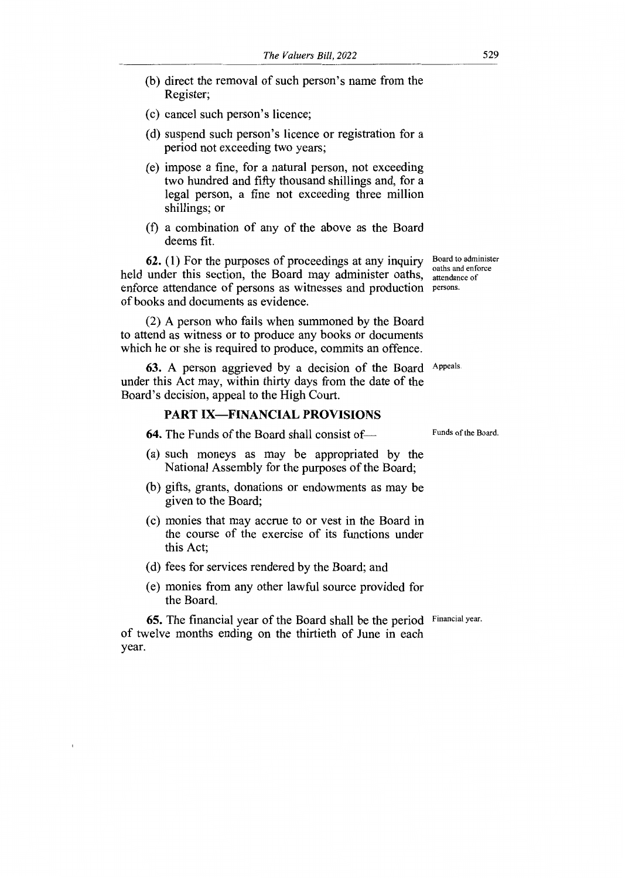- (b) direct the removal of such person's name from the Register;
- (c) cancel such person's licence;
- (d) suspend such person's licence or registration for a period not exceeding two years;
- (e) impose a fine, for a natural person, not exceeding two hundred and fifty thousand shillings and, for a legal person, a fine not exceeding three million shillings; or
- (f) a combination of any of the above as the Board deems fit.

**62.** (1) For the purposes of proceedings at any inquiry held under this section, the Board may administer oaths, enforce attendance of persons as witnesses and production persons. of books and documents as evidence.

(2) A person who fails when summoned by the Board to attend as witness or to produce any books or documents which he or she is required to produce, commits an offence.

**63.** A person aggrieved by a decision of the Board Appeals. under this Act may, within thirty days from the date of the Board's decision, appeal to the High Court.

### **PART IX—FINANCIAL PROVISIONS**

**64.** The Funds of the Board shall consist of— Funds of the Board.

- (a) such moneys as may be appropriated by the National Assembly for the purposes of the Board;
- (b) gifts, grants, donations or endowments as may be given to the Board;
- (c) monies that may accrue to or vest in the Board in the course of the exercise of its functions under this Act;
- (d) fees for services rendered by the Board; and
- (e) monies from any other lawful source provided for the Board.

**65.** The financial year of the Board shall be the period Financial year. of twelve months ending on the thirtieth of June in each year.

Board to administer oaths and enforce attendance of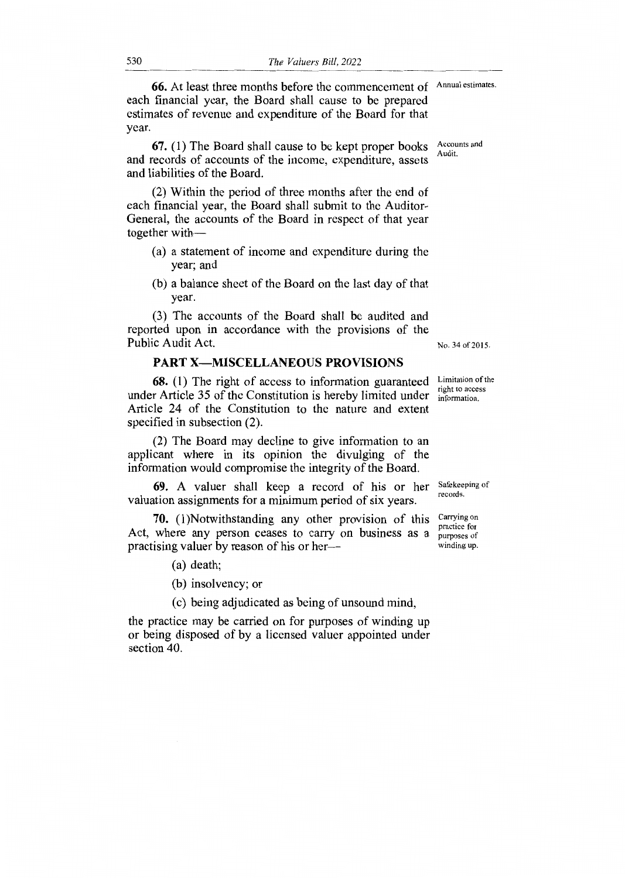66. At least three months before the commencement of Annual estimates. each financial year, the Board shall cause to be prepared estimates of revenue and expenditure of the Board for that year.

67. (1) The Board shall cause to be kept proper books and records of accounts of the income, expenditure, assets and liabilities of the Board.

(2) Within the period of three months after the end of each financial year, the Board shall submit to the Auditor-General, the accounts of the Board in respect of that year together with—

- (a) a statement of income and expenditure during the year; and
- (b) a balance sheet of the Board on the last day of that year.

(3) The accounts of the Board shall be audited and reported upon in accordance with the provisions of the Public Audit Act.

### **PART X—MISCELLANEOUS PROVISIONS**

**68.** (1) The right of access to information guaranteed under Article 35 of the Constitution is hereby limited under Article 24 of the Constitution to the nature and extent specified in subsection (2).

(2) The Board may decline to give information to an applicant where in its opinion the divulging of the information would compromise the integrity of the Board.

**69.** A valuer shall keep a record of his or her Safekeeping of valuation assignments for a minimum period of six years.

**70.** (1)Notwithstanding any other provision of this Act, where any person ceases to carry on business as a practising valuer by reason of his or her—

(a) death;

(b) insolvency; or

(c) being adjudicated as being of unsound mind,

the practice may be carried on for purposes of winding up or being disposed of by a licensed valuer appointed under section 40.

No. 34 of 2015.

Limitation of the right to access information.

records.

Carrying on practice for purposes of winding up.

Accounts and Audit.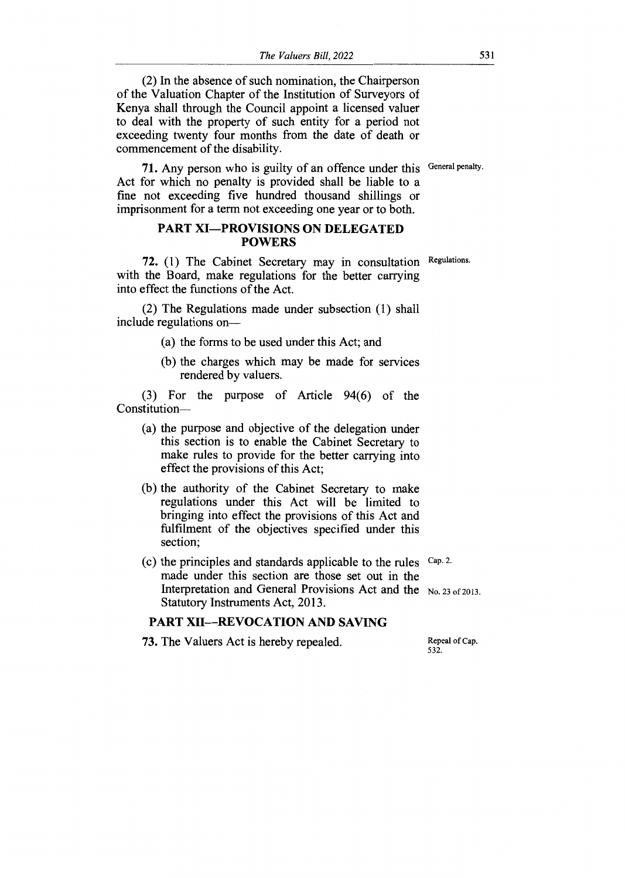(2) In the absence of such nomination, the Chairperson of the Valuation Chapter of the Institution of Surveyors of Kenya shall through the Council appoint a licensed valuer to deal with the property of such entity for a period not exceeding twenty four months from the date of death or commencement of the disability.

71. Any person who is guilty of an offence under this General penalty. Act for which no penalty is provided shall be liable to a fine not exceeding five hundred thousand shillings or imprisonment for a term not exceeding one year or to both.

### **PART XI—PROVISIONS ON DELEGATED POWERS**

**72.** (1) The Cabinet Secretary may in consultation Regulations. with the Board, make regulations for the better carrying into effect the functions of the Act.

(2) The Regulations made under subsection (1) shall include regulations on—

(a) the forms to be used under this Act; and

(b) the charges which may be made for services rendered by valuers.

(3) For the purpose of Article 94(6) of the Constitution—

- (a) the purpose and objective of the delegation under this section is to enable the Cabinet Secretary to make rules to provide for the better carrying into effect the provisions of this Act;
- (b) the authority of the Cabinet Secretary to make regulations under this Act will be limited to bringing into effect the provisions of this Act and fulfilment of the objectives specified under this section;
- (c) the principles and standards applicable to the rules  $Cap.2$ . made under this section are those set out in the Interpretation and General Provisions Act and the No. 23 of 2013. Statutory Instruments Act, 2013.

#### **PART XII—REVOCATION AND SAVING**

**73.** The Valuers Act is hereby repealed. Repeal of Cap.

532.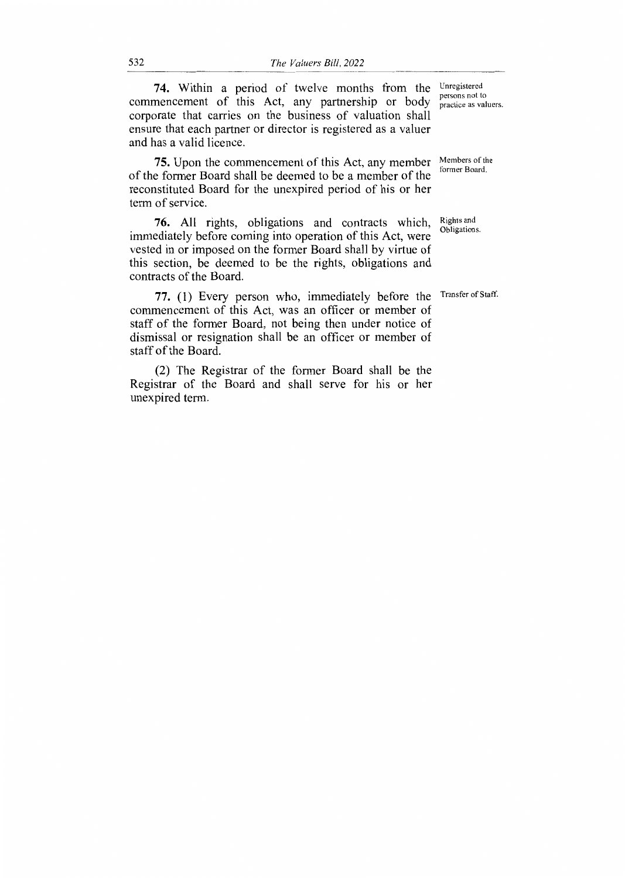**74.** Within a period of twelve months from the Unregistered commencement of this Act, any partnership or body corporate that carries on the business of valuation shall ensure that each partner or director is registered as a valuer and has a valid licence.

75. Upon the commencement of this Act, any member of the former Board shall be deemed to be a member of the reconstituted Board for the unexpired period of his or her term of service.

76. All rights, obligations and contracts which, immediately before coming into operation of this Act, were vested in or imposed on the former Board shall by virtue of this section, be deemed to be the rights, obligations and contracts of the Board.

77. (1) Every person who, immediately before the Transfer of Staff. commencement of this Act, was an officer or member of staff of the former Board, not being then under notice of dismissal or resignation shall be an officer or member of staff of the Board.

(2) The Registrar of the former Board shall be the Registrar of the Board and shall serve for his or her unexpired term.

persons not to practice as valuers.

Members of the former Board.

Rights and Obligations.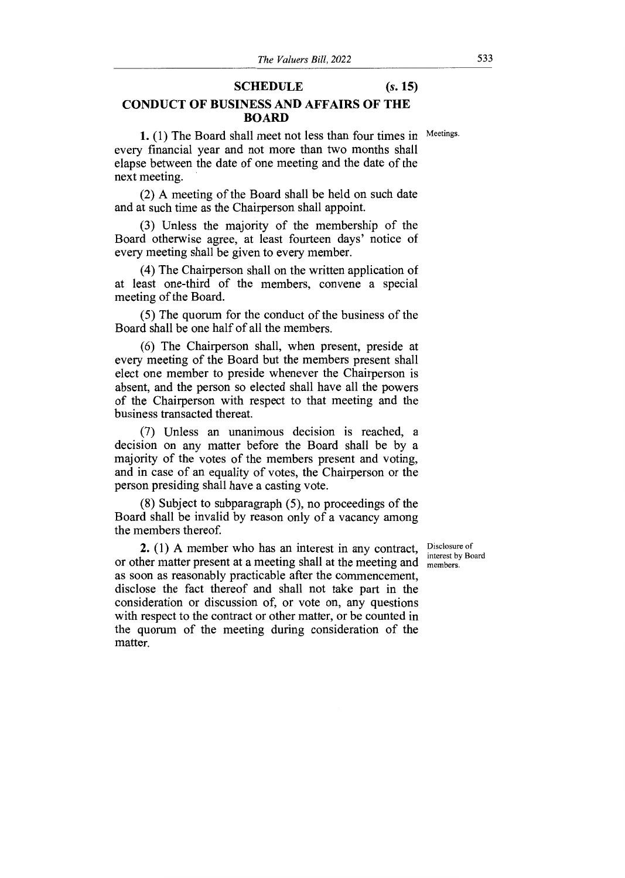#### **SCHEDULE** *(s.* **15)**

### **CONDUCT OF BUSINESS AND AFFAIRS OF THE BOARD**

1. (1) The Board shall meet not less than four times in Meetings. every financial year and not more than two months shall elapse between the date of one meeting and the date of the next meeting.

(2) A meeting of the Board shall be held on such date and at such time as the Chairperson shall appoint.

(3) Unless the majority of the membership of the Board otherwise agree, at least fourteen days' notice of every meeting shall be given to every member.

(4) The Chairperson shall on the written application of at least one-third of the members, convene a special meeting of the Board.

(5) The quorum for the conduct of the business of the Board shall be one half of all the members.

(6) The Chairperson shall, when present, preside at every meeting of the Board but the members present shall elect one member to preside whenever the Chairperson is absent, and the person so elected shall have all the powers of the Chairperson with respect to that meeting and the business transacted thereat.

(7) Unless an unanimous decision is reached, a decision on any matter before the Board shall be by a majority of the votes of the members present and voting, and in case of an equality of votes, the Chairperson or the person presiding shall have a casting vote.

(8) Subject to subparagraph (5), no proceedings of the Board shall be invalid by reason only of a vacancy among the members thereof.

**2.** (1) A member who has an interest in any contract, or other matter present at a meeting shall at the meeting and as soon as reasonably practicable after the commencement, disclose the fact thereof and shall not take part in the consideration or discussion of, or vote on, any questions with respect to the contract or other matter, or be counted in the quorum of the meeting during consideration of the matter.

Disclosure of interest by Board members.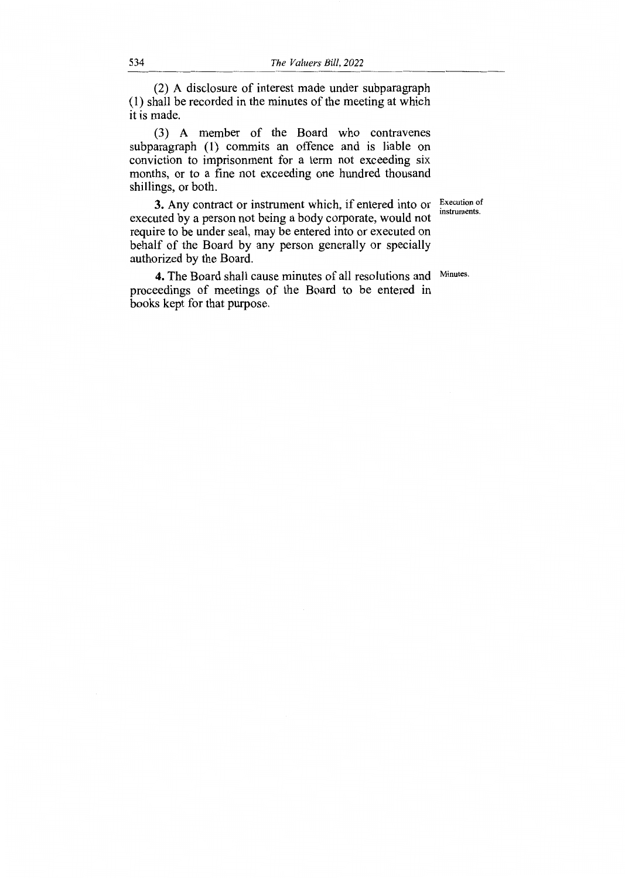(2) A disclosure of interest made under subparagraph (1) shall be recorded in the minutes of the meeting at which it is made.

(3) A member of the Board who contravenes subparagraph (1) commits an offence and is liable on conviction to imprisonment for a term not exceeding six months, or to a fine not exceeding one hundred thousand shillings, or both.

> Execution of instruments.

3. Any contract or instrument which, if entered into or executed by a person not being a body corporate, would not require to be under seal, may be entered into or executed on behalf of the Board by any person generally or specially authorized by the Board.

4. The Board shall cause minutes of all resolutions and proceedings of meetings of the Board to be entered in books kept for that purpose.

Minutes.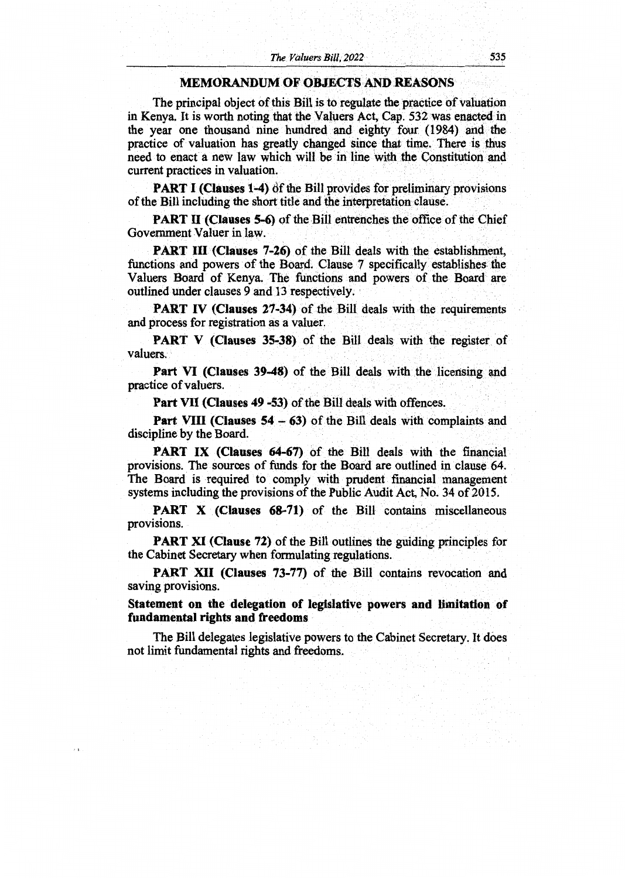#### **MEMORANDUM OF OBJECTS AND REASONS**

The principal object of this Bill is to regulate the practice of valuation in Kenya. It is worth noting that the Valuers Act, Cap. 532 was enacted in the year one thousand nine hundred and eighty four (1984) and the practice of valuation has greatly changed since that time. There is thus need to enact a new law which will be in line with the Constitution and current practices in valuation.

**PART I (Clauses 1-4)** of the Bill provides for preliminary provisions of the Bill including the short title and the interpretation clause.

**PART II (Clauses 5-6)** of the Bill entrenches the office of the Chief Government Valuer in law.

**PART III (Clauses 7-26)** of the Bill deals with the establishment, functions and powers of the Board. Clause 7 specifically establishes the Valuers Board of Kenya. The functions and powers of the Board are outlined under clauses 9 and 13 respectively.

**PART IV (Clauses 27-34)** of the Bill deals with the requirements and process for registration as a valuer.

**PART V (Clauses 35-38)** of the Bill deals with the register of valuers.

**Part VI (Clauses 39-48)** of the Bill deals with the licensing and practice of valuers.

**Part VII (Clauses 49 -53)** of the Bill deals with offences.

**Part VIII (Clauses**  $54 - 63$ **)** of the Bill deals with complaints and discipline by the Board.

**PART IX (Clauses 64-67)** of the Bill deals with the financial provisions. The sources of funds for the Board are outlined in clause 64. The Board is required to comply with prudent financial management systems including the provisions of the Public Audit Act, No. 34 of 2015.

**PART X (Clauses 68-71)** of the Bill contains miscellaneous provisions.

**PART XI (Clause 72)** of the Bill outlines the guiding principles for the Cabinet Secretary when formulating regulations.

**PART XII (Clauses 73-77)** of the Bill contains revocation and saving provisions.

**Statement on the delegation of legislative powers and limitation of fundamental rights and freedoms** 

The Bill delegates legislative powers to the Cabinet Secretary. It does not limit fundamental rights and freedoms.

 $\epsilon$  1